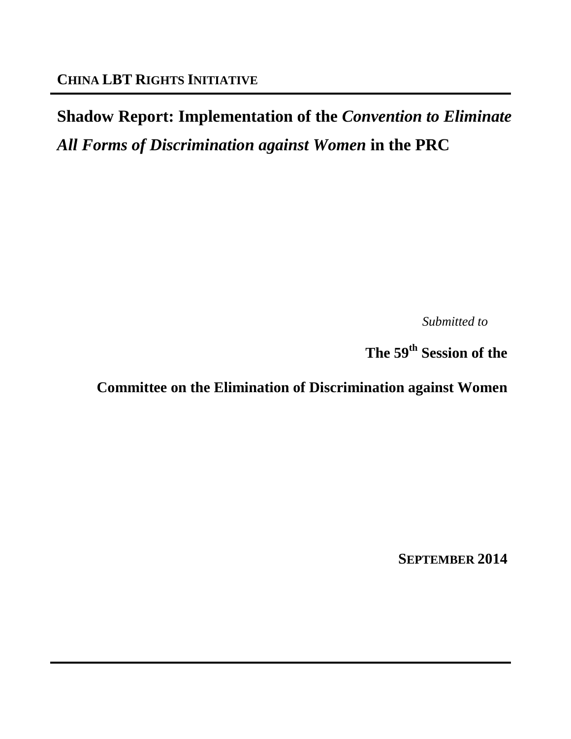# **Shadow Report: Implementation of the** *Convention to Eliminate All Forms of Discrimination against Women* **in the PRC**

*Submitted to*

**The 59th Session of the** 

**Committee on the Elimination of Discrimination against Women**

**SEPTEMBER 2014**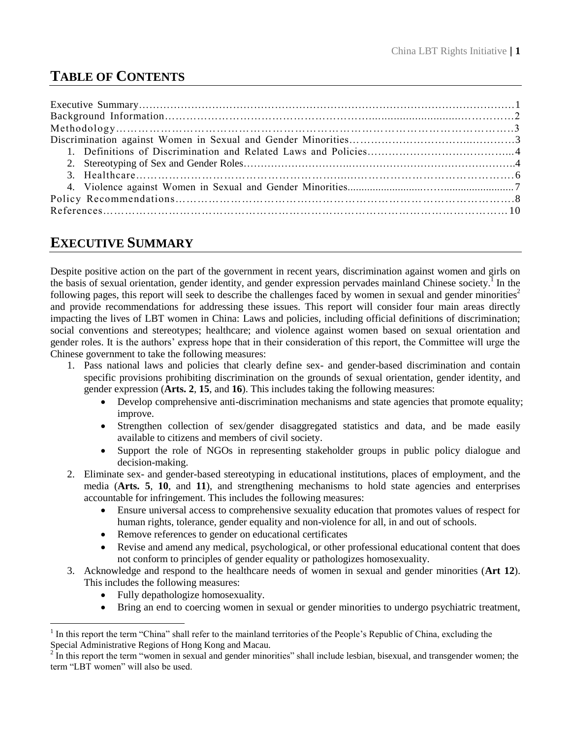# **TABLE OF CONTENTS**

## **EXECUTIVE SUMMARY**

Despite positive action on the part of the government in recent years, discrimination against women and girls on the basis of sexual orientation, gender identity, and gender expression pervades mainland Chinese society. 1 In the following pages, this report will seek to describe the challenges faced by women in sexual and gender minorities<sup>2</sup> and provide recommendations for addressing these issues. This report will consider four main areas directly impacting the lives of LBT women in China: Laws and policies, including official definitions of discrimination; social conventions and stereotypes; healthcare; and violence against women based on sexual orientation and gender roles. It is the authors' express hope that in their consideration of this report, the Committee will urge the Chinese government to take the following measures:

- 1. Pass national laws and policies that clearly define sex- and gender-based discrimination and contain specific provisions prohibiting discrimination on the grounds of sexual orientation, gender identity, and gender expression (**Arts. 2**, **15**, and **16**). This includes taking the following measures:
	- Develop comprehensive anti-discrimination mechanisms and state agencies that promote equality; improve.
	- Strengthen collection of sex/gender disaggregated statistics and data, and be made easily available to citizens and members of civil society.
	- Support the role of NGOs in representing stakeholder groups in public policy dialogue and decision-making.
- 2. Eliminate sex- and gender-based stereotyping in educational institutions, places of employment, and the media (**Arts. 5**, **10**, and **11**), and strengthening mechanisms to hold state agencies and enterprises accountable for infringement. This includes the following measures:
	- Ensure universal access to comprehensive sexuality education that promotes values of respect for human rights, tolerance, gender equality and non-violence for all, in and out of schools.
	- Remove references to gender on educational certificates
	- Revise and amend any medical, psychological, or other professional educational content that does not conform to principles of gender equality or pathologizes homosexuality.
- 3. Acknowledge and respond to the healthcare needs of women in sexual and gender minorities (**Art 12**). This includes the following measures:
	- Fully depathologize homosexuality.

 $\overline{a}$ 

Bring an end to coercing women in sexual or gender minorities to undergo psychiatric treatment,

<sup>1</sup> In this report the term "China" shall refer to the mainland territories of the People's Republic of China, excluding the Special Administrative Regions of Hong Kong and Macau.<br><sup>2</sup> In this report the term "women in sexual and gander minor

In this report the term "women in sexual and gender minorities" shall include lesbian, bisexual, and transgender women; the term "LBT women" will also be used.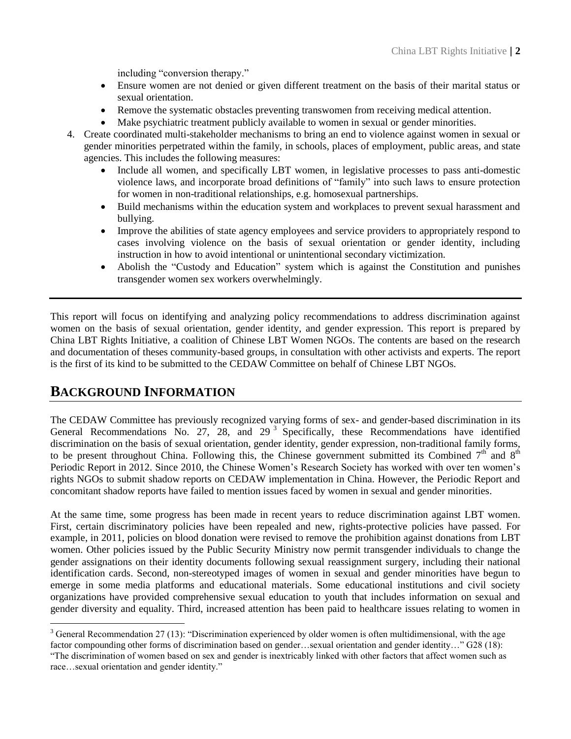including "conversion therapy."

- Ensure women are not denied or given different treatment on the basis of their marital status or sexual orientation.
- Remove the systematic obstacles preventing transwomen from receiving medical attention.
- Make psychiatric treatment publicly available to women in sexual or gender minorities.
- 4. Create coordinated multi-stakeholder mechanisms to bring an end to violence against women in sexual or gender minorities perpetrated within the family, in schools, places of employment, public areas, and state agencies. This includes the following measures:
	- Include all women, and specifically LBT women, in legislative processes to pass anti-domestic violence laws, and incorporate broad definitions of "family" into such laws to ensure protection for women in non-traditional relationships, e.g. homosexual partnerships.
	- Build mechanisms within the education system and workplaces to prevent sexual harassment and bullying.
	- Improve the abilities of state agency employees and service providers to appropriately respond to cases involving violence on the basis of sexual orientation or gender identity, including instruction in how to avoid intentional or unintentional secondary victimization.
	- Abolish the "Custody and Education" system which is against the Constitution and punishes transgender women sex workers overwhelmingly.

This report will focus on identifying and analyzing policy recommendations to address discrimination against women on the basis of sexual orientation, gender identity, and gender expression. This report is prepared by China LBT Rights Initiative, a coalition of Chinese LBT Women NGOs. The contents are based on the research and documentation of theses community-based groups, in consultation with other activists and experts. The report is the first of its kind to be submitted to the CEDAW Committee on behalf of Chinese LBT NGOs.

### **BACKGROUND INFORMATION**

 $\overline{a}$ 

The CEDAW Committee has previously recognized varying forms of sex- and gender-based discrimination in its General Recommendations No. 27, 28, and 29<sup>3</sup> Specifically, these Recommendations have identified discrimination on the basis of sexual orientation, gender identity, gender expression, non-traditional family forms, to be present throughout China. Following this, the Chinese government submitted its Combined  $7<sup>th</sup>$  and  $8<sup>th</sup>$ Periodic Report in 2012. Since 2010, the Chinese Women's Research Society has worked with over ten women's rights NGOs to submit shadow reports on CEDAW implementation in China. However, the Periodic Report and concomitant shadow reports have failed to mention issues faced by women in sexual and gender minorities.

At the same time, some progress has been made in recent years to reduce discrimination against LBT women. First, certain discriminatory policies have been repealed and new, rights-protective policies have passed. For example, in 2011, policies on blood donation were revised to remove the prohibition against donations from LBT women. Other policies issued by the Public Security Ministry now permit transgender individuals to change the gender assignations on their identity documents following sexual reassignment surgery, including their national identification cards. Second, non-stereotyped images of women in sexual and gender minorities have begun to emerge in some media platforms and educational materials. Some educational institutions and civil society organizations have provided comprehensive sexual education to youth that includes information on sexual and gender diversity and equality. Third, increased attention has been paid to healthcare issues relating to women in

 $3$  General Recommendation 27 (13): "Discrimination experienced by older women is often multidimensional, with the age factor compounding other forms of discrimination based on gender…sexual orientation and gender identity…" G28 (18):

<sup>&</sup>quot;The discrimination of women based on sex and gender is inextricably linked with other factors that affect women such as race…sexual orientation and gender identity."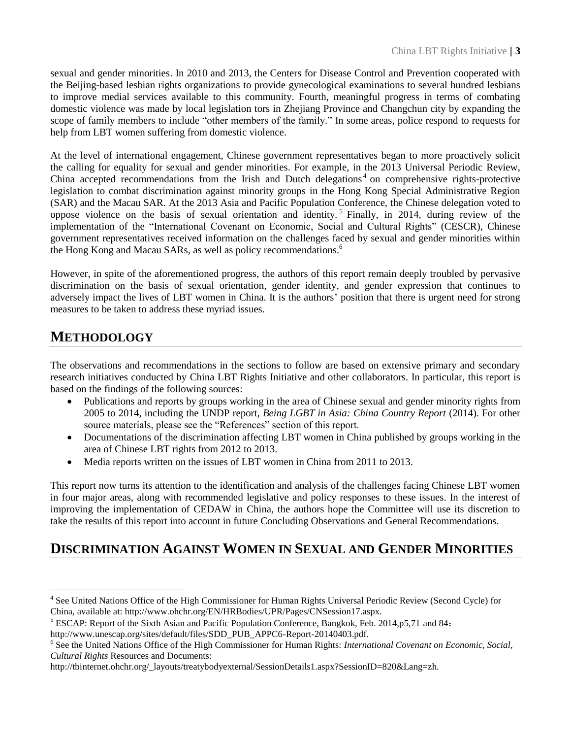sexual and gender minorities. In 2010 and 2013, the Centers for Disease Control and Prevention cooperated with the Beijing-based lesbian rights organizations to provide gynecological examinations to several hundred lesbians to improve medial services available to this community. Fourth, meaningful progress in terms of combating domestic violence was made by local legislation tors in Zhejiang Province and Changchun city by expanding the scope of family members to include "other members of the family." In some areas, police respond to requests for help from LBT women suffering from domestic violence.

At the level of international engagement, Chinese government representatives began to more proactively solicit the calling for equality for sexual and gender minorities. For example, in the 2013 Universal Periodic Review, China accepted recommendations from the Irish and Dutch delegations<sup>4</sup> on comprehensive rights-protective legislation to combat discrimination against minority groups in the Hong Kong Special Administrative Region (SAR) and the Macau SAR. At the 2013 Asia and Pacific Population Conference, the Chinese delegation voted to oppose violence on the basis of sexual orientation and identity.<sup>5</sup> Finally, in 2014, during review of the implementation of the "International Covenant on Economic, Social and Cultural Rights" (CESCR), Chinese government representatives received information on the challenges faced by sexual and gender minorities within the Hong Kong and Macau SARs, as well as policy recommendations.<sup>6</sup>

However, in spite of the aforementioned progress, the authors of this report remain deeply troubled by pervasive discrimination on the basis of sexual orientation, gender identity, and gender expression that continues to adversely impact the lives of LBT women in China. It is the authors' position that there is urgent need for strong measures to be taken to address these myriad issues.

## **METHODOLOGY**

The observations and recommendations in the sections to follow are based on extensive primary and secondary research initiatives conducted by China LBT Rights Initiative and other collaborators. In particular, this report is based on the findings of the following sources:

- Publications and reports by groups working in the area of Chinese sexual and gender minority rights from 2005 to 2014, including the UNDP report, *Being LGBT in Asia: China Country Report* (2014). For other source materials, please see the "References" section of this report.
- Documentations of the discrimination affecting LBT women in China published by groups working in the area of Chinese LBT rights from 2012 to 2013.
- Media reports written on the issues of LBT women in China from 2011 to 2013.

This report now turns its attention to the identification and analysis of the challenges facing Chinese LBT women in four major areas, along with recommended legislative and policy responses to these issues. In the interest of improving the implementation of CEDAW in China, the authors hope the Committee will use its discretion to take the results of this report into account in future Concluding Observations and General Recommendations.

### **DISCRIMINATION AGAINST WOMEN IN SEXUAL AND GENDER MINORITIES**

 $\overline{a}$ <sup>4</sup> See United Nations Office of the High Commissioner for Human Rights Universal Periodic Review (Second Cycle) for China, available at: http://www.ohchr.org/EN/HRBodies/UPR/Pages/CNSession17.aspx.

<sup>5</sup> ESCAP: Report of the Sixth Asian and Pacific Population Conference, Bangkok, Feb. 2014,p5,71 and 84:

http://www.unescap.org/sites/default/files/SDD\_PUB\_APPC6-Report-20140403.pdf.

<sup>6</sup> See the United Nations Office of the High Commissioner for Human Rights: *International Covenant on Economic, Social, Cultural Rights* Resources and Documents:

http://tbinternet.ohchr.org/\_layouts/treatybodyexternal/SessionDetails1.aspx?SessionID=820&Lang=zh.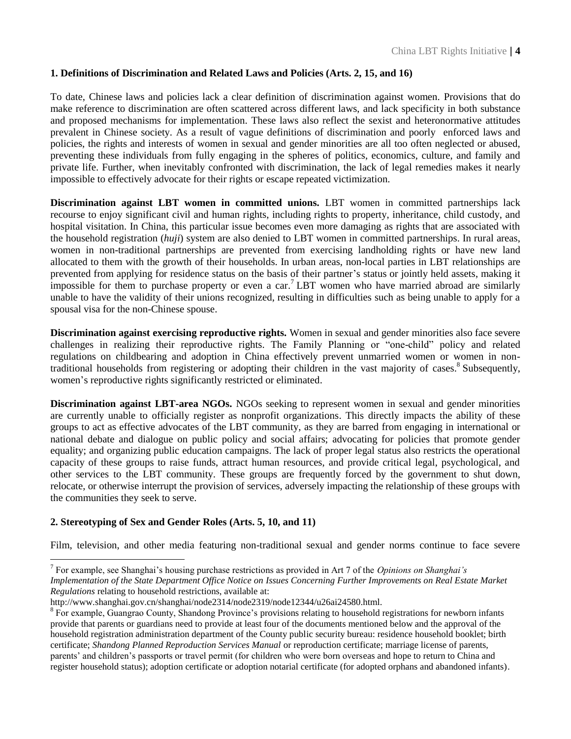#### **1. Definitions of Discrimination and Related Laws and Policies (Arts. 2, 15, and 16)**

To date, Chinese laws and policies lack a clear definition of discrimination against women. Provisions that do make reference to discrimination are often scattered across different laws, and lack specificity in both substance and proposed mechanisms for implementation. These laws also reflect the sexist and heteronormative attitudes prevalent in Chinese society. As a result of vague definitions of discrimination and poorly enforced laws and policies, the rights and interests of women in sexual and gender minorities are all too often neglected or abused, preventing these individuals from fully engaging in the spheres of politics, economics, culture, and family and private life. Further, when inevitably confronted with discrimination, the lack of legal remedies makes it nearly impossible to effectively advocate for their rights or escape repeated victimization.

**Discrimination against LBT women in committed unions.** LBT women in committed partnerships lack recourse to enjoy significant civil and human rights, including rights to property, inheritance, child custody, and hospital visitation. In China, this particular issue becomes even more damaging as rights that are associated with the household registration (*huji*) system are also denied to LBT women in committed partnerships. In rural areas, women in non-traditional partnerships are prevented from exercising landholding rights or have new land allocated to them with the growth of their households. In urban areas, non-local parties in LBT relationships are prevented from applying for residence status on the basis of their partner's status or jointly held assets, making it impossible for them to purchase property or even a car.<sup>7</sup> LBT women who have married abroad are similarly unable to have the validity of their unions recognized, resulting in difficulties such as being unable to apply for a spousal visa for the non-Chinese spouse.

**Discrimination against exercising reproductive rights.** Women in sexual and gender minorities also face severe challenges in realizing their reproductive rights. The Family Planning or "one-child" policy and related regulations on childbearing and adoption in China effectively prevent unmarried women or women in nontraditional households from registering or adopting their children in the vast majority of cases.<sup>8</sup> Subsequently, women's reproductive rights significantly restricted or eliminated.

**Discrimination against LBT-area NGOs.** NGOs seeking to represent women in sexual and gender minorities are currently unable to officially register as nonprofit organizations. This directly impacts the ability of these groups to act as effective advocates of the LBT community, as they are barred from engaging in international or national debate and dialogue on public policy and social affairs; advocating for policies that promote gender equality; and organizing public education campaigns. The lack of proper legal status also restricts the operational capacity of these groups to raise funds, attract human resources, and provide critical legal, psychological, and other services to the LBT community. These groups are frequently forced by the government to shut down, relocate, or otherwise interrupt the provision of services, adversely impacting the relationship of these groups with the communities they seek to serve.

#### **2. Stereotyping of Sex and Gender Roles (Arts. 5, 10, and 11)**

 $\overline{a}$ 

Film, television, and other media featuring non-traditional sexual and gender norms continue to face severe

<sup>7</sup> For example, see Shanghai's housing purchase restrictions as provided in Art 7 of the *Opinions on Shanghai's Implementation of the State Department Office Notice on Issues Concerning Further Improvements on Real Estate Market Regulations* relating to household restrictions, available at:

http://www.shanghai.gov.cn/shanghai/node2314/node2319/node12344/u26ai24580.html.

<sup>&</sup>lt;sup>8</sup> For example, Guangrao County, Shandong Province's provisions relating to household registrations for newborn infants provide that parents or guardians need to provide at least four of the documents mentioned below and the approval of the household registration administration department of the County public security bureau: residence household booklet; birth certificate; *Shandong Planned Reproduction Services Manual* or reproduction certificate; marriage license of parents, parents' and children's passports or travel permit (for children who were born overseas and hope to return to China and register household status); adoption certificate or adoption notarial certificate (for adopted orphans and abandoned infants).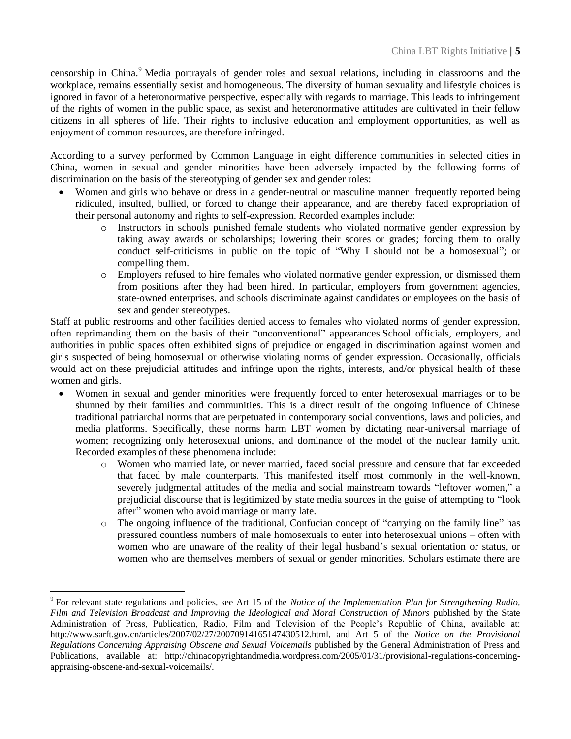censorship in China.<sup>9</sup> Media portrayals of gender roles and sexual relations, including in classrooms and the workplace, remains essentially sexist and homogeneous. The diversity of human sexuality and lifestyle choices is ignored in favor of a heteronormative perspective, especially with regards to marriage. This leads to infringement of the rights of women in the public space, as sexist and heteronormative attitudes are cultivated in their fellow citizens in all spheres of life. Their rights to inclusive education and employment opportunities, as well as enjoyment of common resources, are therefore infringed.

According to a survey performed by Common Language in eight difference communities in selected cities in China, women in sexual and gender minorities have been adversely impacted by the following forms of discrimination on the basis of the stereotyping of gender sex and gender roles:

- Women and girls who behave or dress in a gender-neutral or masculine manner frequently reported being ridiculed, insulted, bullied, or forced to change their appearance, and are thereby faced expropriation of their personal autonomy and rights to self-expression. Recorded examples include:
	- o Instructors in schools punished female students who violated normative gender expression by taking away awards or scholarships; lowering their scores or grades; forcing them to orally conduct self-criticisms in public on the topic of "Why I should not be a homosexual"; or compelling them.
	- o Employers refused to hire females who violated normative gender expression, or dismissed them from positions after they had been hired. In particular, employers from government agencies, state-owned enterprises, and schools discriminate against candidates or employees on the basis of sex and gender stereotypes.

Staff at public restrooms and other facilities denied access to females who violated norms of gender expression, often reprimanding them on the basis of their "unconventional" appearances.School officials, employers, and authorities in public spaces often exhibited signs of prejudice or engaged in discrimination against women and girls suspected of being homosexual or otherwise violating norms of gender expression. Occasionally, officials would act on these prejudicial attitudes and infringe upon the rights, interests, and/or physical health of these women and girls.

- Women in sexual and gender minorities were frequently forced to enter heterosexual marriages or to be shunned by their families and communities. This is a direct result of the ongoing influence of Chinese traditional patriarchal norms that are perpetuated in contemporary social conventions, laws and policies, and media platforms. Specifically, these norms harm LBT women by dictating near-universal marriage of women; recognizing only heterosexual unions, and dominance of the model of the nuclear family unit. Recorded examples of these phenomena include:
	- o Women who married late, or never married, faced social pressure and censure that far exceeded that faced by male counterparts. This manifested itself most commonly in the well-known, severely judgmental attitudes of the media and social mainstream towards "leftover women," a prejudicial discourse that is legitimized by state media sources in the guise of attempting to "look after" women who avoid marriage or marry late.
	- o The ongoing influence of the traditional, Confucian concept of "carrying on the family line" has pressured countless numbers of male homosexuals to enter into heterosexual unions – often with women who are unaware of the reality of their legal husband's sexual orientation or status, or women who are themselves members of sexual or gender minorities. Scholars estimate there are

 $\overline{a}$ 

<sup>9</sup> For relevant state regulations and policies, see Art 15 of the *Notice of the Implementation Plan for Strengthening Radio, Film and Television Broadcast and Improving the Ideological and Moral Construction of Minors* published by the State Administration of Press, Publication, Radio, Film and Television of the People's Republic of China, available at: http://www.sarft.gov.cn/articles/2007/02/27/20070914165147430512.html, and Art 5 of the *Notice on the Provisional Regulations Concerning Appraising Obscene and Sexual Voicemails* published by the General Administration of Press and Publications, available at: http://chinacopyrightandmedia.wordpress.com/2005/01/31/provisional-regulations-concerningappraising-obscene-and-sexual-voicemails/.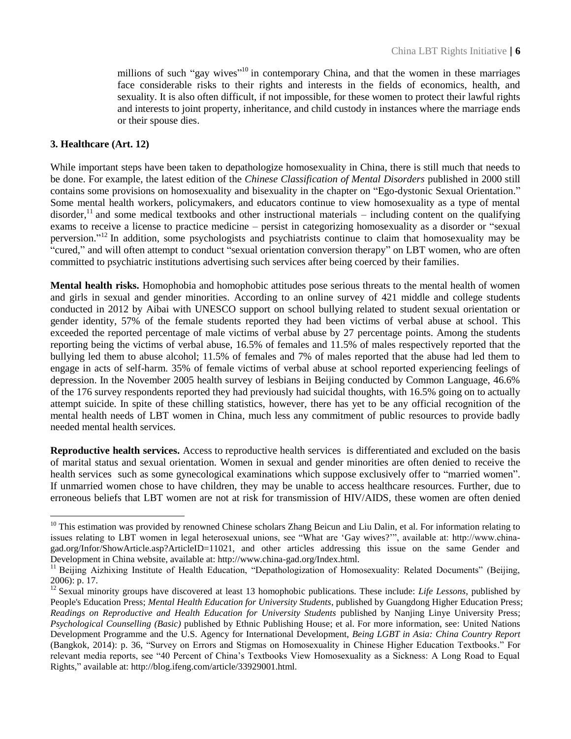millions of such "gay wives"<sup>10</sup> in contemporary China, and that the women in these marriages face considerable risks to their rights and interests in the fields of economics, health, and sexuality. It is also often difficult, if not impossible, for these women to protect their lawful rights and interests to joint property, inheritance, and child custody in instances where the marriage ends or their spouse dies.

#### **3. Healthcare (Art. 12)**

 $\overline{a}$ 

While important steps have been taken to depathologize homosexuality in China, there is still much that needs to be done. For example, the latest edition of the *Chinese Classification of Mental Disorders* published in 2000 still contains some provisions on homosexuality and bisexuality in the chapter on "Ego-dystonic Sexual Orientation." Some mental health workers, policymakers, and educators continue to view homosexuality as a type of mental disorder,<sup>11</sup> and some medical textbooks and other instructional materials – including content on the qualifying exams to receive a license to practice medicine – persist in categorizing homosexuality as a disorder or "sexual perversion." <sup>12</sup> In addition, some psychologists and psychiatrists continue to claim that homosexuality may be "cured," and will often attempt to conduct "sexual orientation conversion therapy" on LBT women, who are often committed to psychiatric institutions advertising such services after being coerced by their families.

**Mental health risks.** Homophobia and homophobic attitudes pose serious threats to the mental health of women and girls in sexual and gender minorities. According to an online survey of 421 middle and college students conducted in 2012 by Aibai with UNESCO support on school bullying related to student sexual orientation or gender identity, 57% of the female students reported they had been victims of verbal abuse at school. This exceeded the reported percentage of male victims of verbal abuse by 27 percentage points. Among the students reporting being the victims of verbal abuse, 16.5% of females and 11.5% of males respectively reported that the bullying led them to abuse alcohol; 11.5% of females and 7% of males reported that the abuse had led them to engage in acts of self-harm. 35% of female victims of verbal abuse at school reported experiencing feelings of depression. In the November 2005 health survey of lesbians in Beijing conducted by Common Language, 46.6% of the 176 survey respondents reported they had previously had suicidal thoughts, with 16.5% going on to actually attempt suicide. In spite of these chilling statistics, however, there has yet to be any official recognition of the mental health needs of LBT women in China, much less any commitment of public resources to provide badly needed mental health services.

**Reproductive health services.** Access to reproductive health services is differentiated and excluded on the basis of marital status and sexual orientation. Women in sexual and gender minorities are often denied to receive the health services such as some gynecological examinations which suppose exclusively offer to "married women". If unmarried women chose to have children, they may be unable to access healthcare resources. Further, due to erroneous beliefs that LBT women are not at risk for transmission of HIV/AIDS, these women are often denied

 $10$  This estimation was provided by renowned Chinese scholars Zhang Beicun and Liu Dalin, et al. For information relating to issues relating to LBT women in legal heterosexual unions, see "What are 'Gay wives?'", available at: http://www.chinagad.org/Infor/ShowArticle.asp?ArticleID=11021, and other articles addressing this issue on the same Gender and Development in China website, available at: http://www.china-gad.org/Index.html.

<sup>&</sup>lt;sup>11</sup> Beijing Aizhixing Institute of Health Education, "Depathologization of Homosexuality: Related Documents" (Beijing, 2006): p. 17.

<sup>&</sup>lt;sup>12</sup> Sexual minority groups have discovered at least 13 homophobic publications. These include: *Life Lessons*, published by People's Education Press; *Mental Health Education for University Students*, published by Guangdong Higher Education Press; *Readings on Reproductive and Health Education for University Students* published by Nanjing Linye University Press; *Psychological Counselling (Basic)* published by Ethnic Publishing House; et al. For more information, see: United Nations Development Programme and the U.S. Agency for International Development, *Being LGBT in Asia: China Country Report* (Bangkok, 2014): p. 36, "Survey on Errors and Stigmas on Homosexuality in Chinese Higher Education Textbooks." For relevant media reports, see "40 Percent of China's Textbooks View Homosexuality as a Sickness: A Long Road to Equal Rights," available at: http://blog.ifeng.com/article/33929001.html.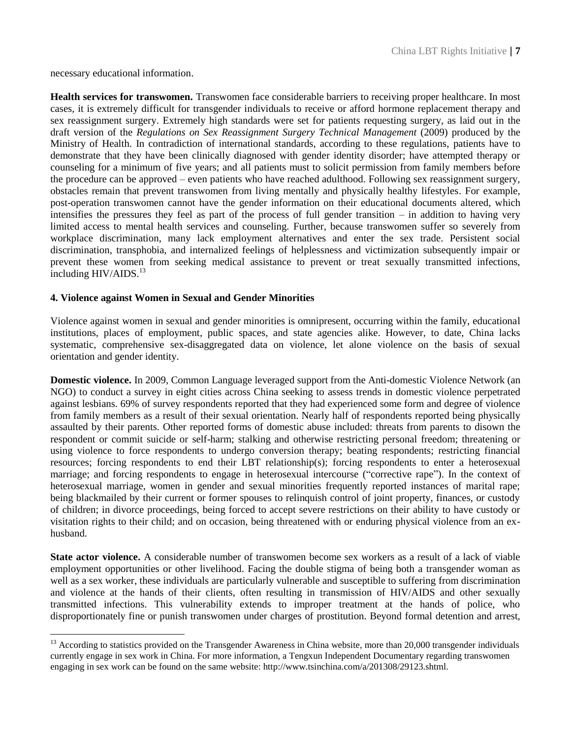necessary educational information.

 $\overline{a}$ 

**Health services for transwomen.** Transwomen face considerable barriers to receiving proper healthcare. In most cases, it is extremely difficult for transgender individuals to receive or afford hormone replacement therapy and sex reassignment surgery. Extremely high standards were set for patients requesting surgery, as laid out in the draft version of the *Regulations on Sex Reassignment Surgery Technical Management* (2009) produced by the Ministry of Health. In contradiction of international standards, according to these regulations, patients have to demonstrate that they have been clinically diagnosed with gender identity disorder; have attempted therapy or counseling for a minimum of five years; and all patients must to solicit permission from family members before the procedure can be approved – even patients who have reached adulthood. Following sex reassignment surgery, obstacles remain that prevent transwomen from living mentally and physically healthy lifestyles. For example, post-operation transwomen cannot have the gender information on their educational documents altered, which intensifies the pressures they feel as part of the process of full gender transition – in addition to having very limited access to mental health services and counseling. Further, because transwomen suffer so severely from workplace discrimination, many lack employment alternatives and enter the sex trade. Persistent social discrimination, transphobia, and internalized feelings of helplessness and victimization subsequently impair or prevent these women from seeking medical assistance to prevent or treat sexually transmitted infections, including  $HIV/AIDS.<sup>13</sup>$ 

#### **4. Violence against Women in Sexual and Gender Minorities**

Violence against women in sexual and gender minorities is omnipresent, occurring within the family, educational institutions, places of employment, public spaces, and state agencies alike. However, to date, China lacks systematic, comprehensive sex-disaggregated data on violence, let alone violence on the basis of sexual orientation and gender identity.

**Domestic violence.** In 2009, Common Language leveraged support from the Anti-domestic Violence Network (an NGO) to conduct a survey in eight cities across China seeking to assess trends in domestic violence perpetrated against lesbians. 69% of survey respondents reported that they had experienced some form and degree of violence from family members as a result of their sexual orientation. Nearly half of respondents reported being physically assaulted by their parents. Other reported forms of domestic abuse included: threats from parents to disown the respondent or commit suicide or self-harm; stalking and otherwise restricting personal freedom; threatening or using violence to force respondents to undergo conversion therapy; beating respondents; restricting financial resources; forcing respondents to end their LBT relationship(s); forcing respondents to enter a heterosexual marriage; and forcing respondents to engage in heterosexual intercourse ("corrective rape"). In the context of heterosexual marriage, women in gender and sexual minorities frequently reported instances of marital rape; being blackmailed by their current or former spouses to relinquish control of joint property, finances, or custody of children; in divorce proceedings, being forced to accept severe restrictions on their ability to have custody or visitation rights to their child; and on occasion, being threatened with or enduring physical violence from an exhusband.

**State actor violence.** A considerable number of transwomen become sex workers as a result of a lack of viable employment opportunities or other livelihood. Facing the double stigma of being both a transgender woman as well as a sex worker, these individuals are particularly vulnerable and susceptible to suffering from discrimination and violence at the hands of their clients, often resulting in transmission of HIV/AIDS and other sexually transmitted infections. This vulnerability extends to improper treatment at the hands of police, who disproportionately fine or punish transwomen under charges of prostitution. Beyond formal detention and arrest,

<sup>&</sup>lt;sup>13</sup> According to statistics provided on the Transgender Awareness in China website, more than 20,000 transgender individuals currently engage in sex work in China. For more information, a Tengxun Independent Documentary regarding transwomen engaging in sex work can be found on the same website: http://www.tsinchina.com/a/201308/29123.shtml.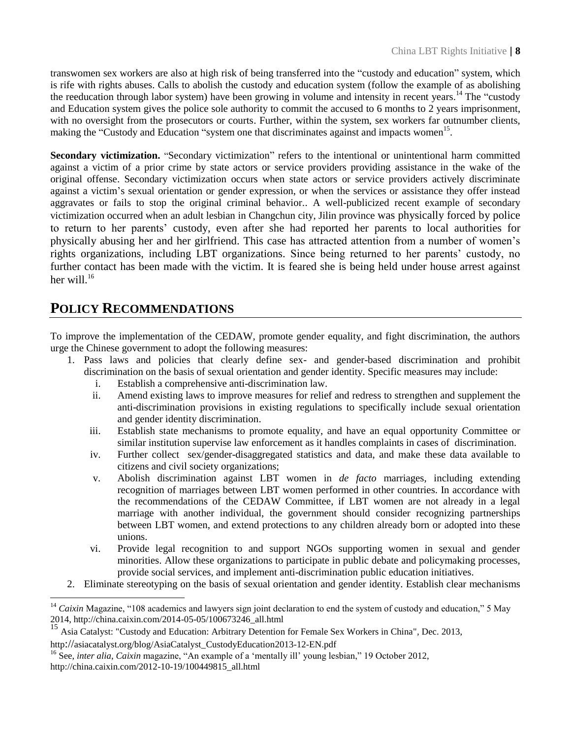transwomen sex workers are also at high risk of being transferred into the "custody and education" system, which is rife with rights abuses. Calls to abolish the custody and education system (follow the example of as abolishing the reeducation through labor system) have been growing in volume and intensity in recent years.<sup>14</sup> The "custody" and Education system gives the police sole authority to commit the accused to 6 months to 2 years imprisonment, with no oversight from the prosecutors or courts. Further, within the system, sex workers far outnumber clients, making the "Custody and Education "system one that discriminates against and impacts women<sup>15</sup>.

**Secondary victimization.** "Secondary victimization" refers to the intentional or unintentional harm committed against a victim of a prior crime by state actors or service providers providing assistance in the wake of the original offense. Secondary victimization occurs when state actors or service providers actively discriminate against a victim's sexual orientation or gender expression, or when the services or assistance they offer instead aggravates or fails to stop the original criminal behavior.. A well-publicized recent example of secondary victimization occurred when an adult lesbian in Changchun city, Jilin province was physically forced by police to return to her parents' custody, even after she had reported her parents to local authorities for physically abusing her and her girlfriend. This case has attracted attention from a number of women's rights organizations, including LBT organizations. Since being returned to her parents' custody, no further contact has been made with the victim. It is feared she is being held under house arrest against her will $16$ 

### **POLICY RECOMMENDATIONS**

 $\overline{a}$ 

To improve the implementation of the CEDAW, promote gender equality, and fight discrimination, the authors urge the Chinese government to adopt the following measures:

- 1. Pass laws and policies that clearly define sex- and gender-based discrimination and prohibit discrimination on the basis of sexual orientation and gender identity. Specific measures may include:
	- i. Establish a comprehensive anti-discrimination law.
	- ii. Amend existing laws to improve measures for relief and redress to strengthen and supplement the anti-discrimination provisions in existing regulations to specifically include sexual orientation and gender identity discrimination.
	- iii. Establish state mechanisms to promote equality, and have an equal opportunity Committee or similar institution supervise law enforcement as it handles complaints in cases of discrimination.
	- iv. Further collect sex/gender-disaggregated statistics and data, and make these data available to citizens and civil society organizations;
	- v. Abolish discrimination against LBT women in *de facto* marriages, including extending recognition of marriages between LBT women performed in other countries. In accordance with the recommendations of the CEDAW Committee, if LBT women are not already in a legal marriage with another individual, the government should consider recognizing partnerships between LBT women, and extend protections to any children already born or adopted into these unions.
	- vi. Provide legal recognition to and support NGOs supporting women in sexual and gender minorities. Allow these organizations to participate in public debate and policymaking processes, provide social services, and implement anti-discrimination public education initiatives.
- 2. Eliminate stereotyping on the basis of sexual orientation and gender identity. Establish clear mechanisms

<sup>&</sup>lt;sup>14</sup> Caixin Magazine, "108 academics and lawyers sign joint declaration to end the system of custody and education," 5 May 2014, http://china.caixin.com/2014-05-05/100673246\_all.html

<sup>15</sup> Asia Catalyst: "Custody and Education: Arbitrary Detention for Female Sex Workers in China"*,* Dec. 2013,

http://asiacatalyst.org/blog/AsiaCatalyst\_CustodyEducation2013-12-EN.pdf

<sup>&</sup>lt;sup>16</sup> See, *inter alia, Caixin* magazine, "An example of a 'mentally ill' young lesbian," 19 October 2012, [http://china.caixin.com/2012-10-19/100449815\\_all.html](http://china.caixin.com/2012-10-19/100449815_all.html)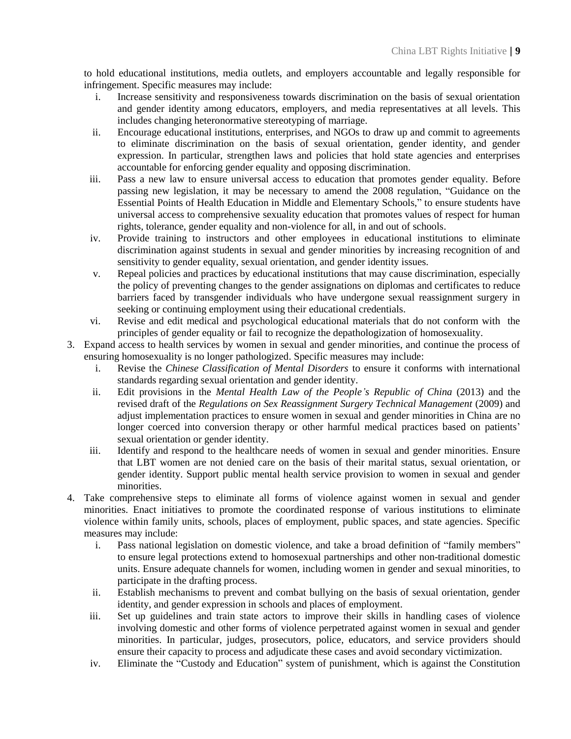to hold educational institutions, media outlets, and employers accountable and legally responsible for infringement. Specific measures may include:

- i. Increase sensitivity and responsiveness towards discrimination on the basis of sexual orientation and gender identity among educators, employers, and media representatives at all levels. This includes changing heteronormative stereotyping of marriage.
- ii. Encourage educational institutions, enterprises, and NGOs to draw up and commit to agreements to eliminate discrimination on the basis of sexual orientation, gender identity, and gender expression. In particular, strengthen laws and policies that hold state agencies and enterprises accountable for enforcing gender equality and opposing discrimination.
- iii. Pass a new law to ensure universal access to education that promotes gender equality. Before passing new legislation, it may be necessary to amend the 2008 regulation, "Guidance on the Essential Points of Health Education in Middle and Elementary Schools," to ensure students have universal access to comprehensive sexuality education that promotes values of respect for human rights, tolerance, gender equality and non-violence for all, in and out of schools.
- iv. Provide training to instructors and other employees in educational institutions to eliminate discrimination against students in sexual and gender minorities by increasing recognition of and sensitivity to gender equality, sexual orientation, and gender identity issues.
- v. Repeal policies and practices by educational institutions that may cause discrimination, especially the policy of preventing changes to the gender assignations on diplomas and certificates to reduce barriers faced by transgender individuals who have undergone sexual reassignment surgery in seeking or continuing employment using their educational credentials.
- vi. Revise and edit medical and psychological educational materials that do not conform with the principles of gender equality or fail to recognize the depathologization of homosexuality.
- 3. Expand access to health services by women in sexual and gender minorities, and continue the process of ensuring homosexuality is no longer pathologized. Specific measures may include:
	- i. Revise the *Chinese Classification of Mental Disorders* to ensure it conforms with international standards regarding sexual orientation and gender identity.
	- ii. Edit provisions in the *Mental Health Law of the People's Republic of China* (2013) and the revised draft of the *Regulations on Sex Reassignment Surgery Technical Management* (2009) and adjust implementation practices to ensure women in sexual and gender minorities in China are no longer coerced into conversion therapy or other harmful medical practices based on patients' sexual orientation or gender identity.
	- iii. Identify and respond to the healthcare needs of women in sexual and gender minorities. Ensure that LBT women are not denied care on the basis of their marital status, sexual orientation, or gender identity. Support public mental health service provision to women in sexual and gender minorities.
- 4. Take comprehensive steps to eliminate all forms of violence against women in sexual and gender minorities. Enact initiatives to promote the coordinated response of various institutions to eliminate violence within family units, schools, places of employment, public spaces, and state agencies. Specific measures may include:
	- i. Pass national legislation on domestic violence, and take a broad definition of "family members" to ensure legal protections extend to homosexual partnerships and other non-traditional domestic units. Ensure adequate channels for women, including women in gender and sexual minorities, to participate in the drafting process.
	- ii. Establish mechanisms to prevent and combat bullying on the basis of sexual orientation, gender identity, and gender expression in schools and places of employment.
	- iii. Set up guidelines and train state actors to improve their skills in handling cases of violence involving domestic and other forms of violence perpetrated against women in sexual and gender minorities. In particular, judges, prosecutors, police, educators, and service providers should ensure their capacity to process and adjudicate these cases and avoid secondary victimization.
	- iv. Eliminate the "Custody and Education" system of punishment, which is against the Constitution